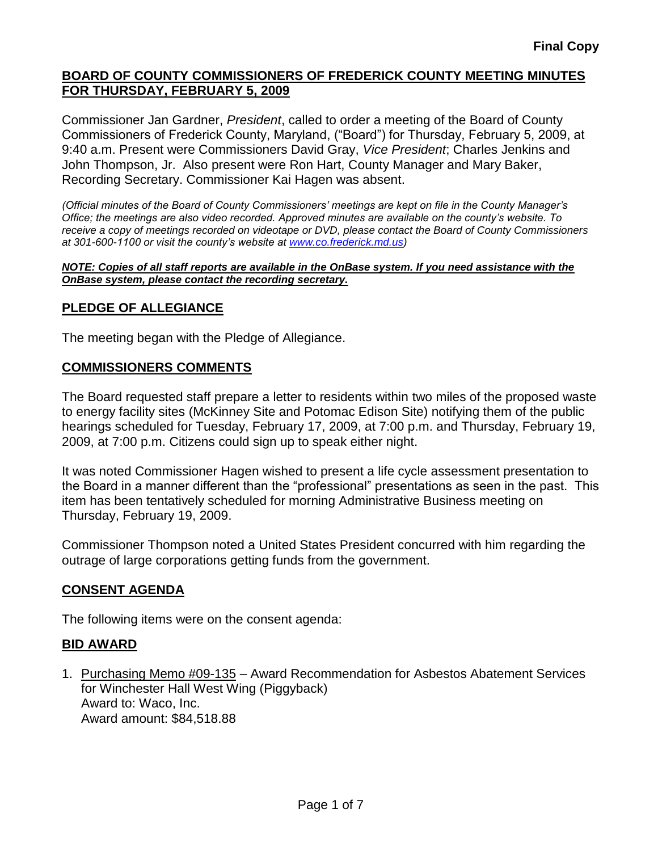Commissioner Jan Gardner, *President*, called to order a meeting of the Board of County Commissioners of Frederick County, Maryland, ("Board") for Thursday, February 5, 2009, at 9:40 a.m. Present were Commissioners David Gray, *Vice President*; Charles Jenkins and John Thompson, Jr. Also present were Ron Hart, County Manager and Mary Baker, Recording Secretary. Commissioner Kai Hagen was absent.

*(Official minutes of the Board of County Commissioners' meetings are kept on file in the County Manager's Office; the meetings are also video recorded. Approved minutes are available on the county's website. To receive a copy of meetings recorded on videotape or DVD, please contact the Board of County Commissioners at 301-600-1100 or visit the county's website at [www.co.frederick.md.us\)](http://www.co.frederick.md.us/)*

#### *NOTE: Copies of all staff reports are available in the OnBase system. If you need assistance with the OnBase system, please contact the recording secretary.*

# **PLEDGE OF ALLEGIANCE**

The meeting began with the Pledge of Allegiance.

#### **COMMISSIONERS COMMENTS**

The Board requested staff prepare a letter to residents within two miles of the proposed waste to energy facility sites (McKinney Site and Potomac Edison Site) notifying them of the public hearings scheduled for Tuesday, February 17, 2009, at 7:00 p.m. and Thursday, February 19, 2009, at 7:00 p.m. Citizens could sign up to speak either night.

It was noted Commissioner Hagen wished to present a life cycle assessment presentation to the Board in a manner different than the "professional" presentations as seen in the past. This item has been tentatively scheduled for morning Administrative Business meeting on Thursday, February 19, 2009.

Commissioner Thompson noted a United States President concurred with him regarding the outrage of large corporations getting funds from the government.

# **CONSENT AGENDA**

The following items were on the consent agenda:

#### **BID AWARD**

1. Purchasing Memo #09-135 – Award Recommendation for Asbestos Abatement Services for Winchester Hall West Wing (Piggyback) Award to: Waco, Inc. Award amount: \$84,518.88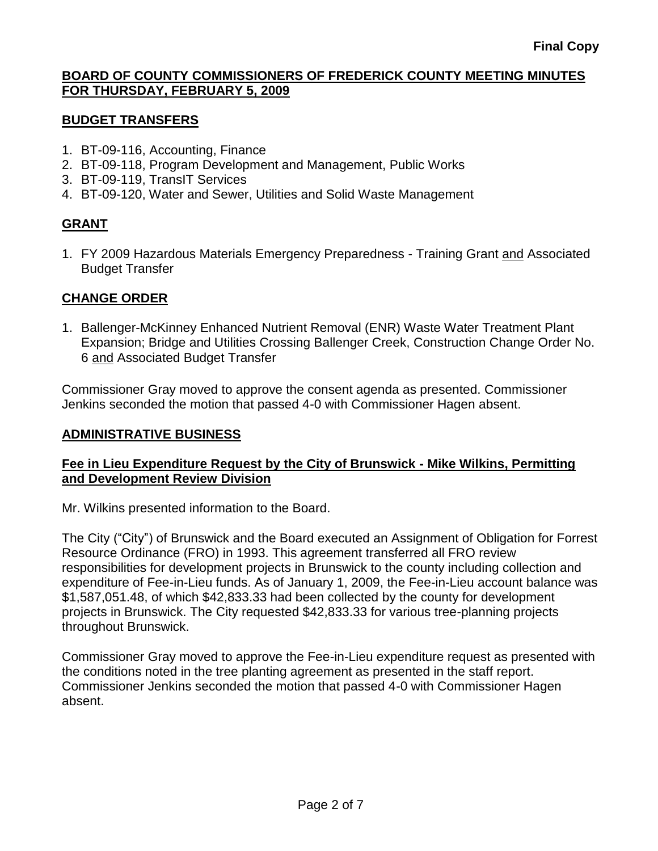# **BUDGET TRANSFERS**

- 1. BT-09-116, Accounting, Finance
- 2. BT-09-118, Program Development and Management, Public Works
- 3. BT-09-119, TransIT Services
- 4. BT-09-120, Water and Sewer, Utilities and Solid Waste Management

# **GRANT**

1. FY 2009 Hazardous Materials Emergency Preparedness - Training Grant and Associated Budget Transfer

# **CHANGE ORDER**

1. Ballenger-McKinney Enhanced Nutrient Removal (ENR) Waste Water Treatment Plant Expansion; Bridge and Utilities Crossing Ballenger Creek, Construction Change Order No. 6 and Associated Budget Transfer

Commissioner Gray moved to approve the consent agenda as presented. Commissioner Jenkins seconded the motion that passed 4-0 with Commissioner Hagen absent.

#### **ADMINISTRATIVE BUSINESS**

# **Fee in Lieu Expenditure Request by the City of Brunswick - Mike Wilkins, Permitting and Development Review Division**

Mr. Wilkins presented information to the Board.

The City ("City") of Brunswick and the Board executed an Assignment of Obligation for Forrest Resource Ordinance (FRO) in 1993. This agreement transferred all FRO review responsibilities for development projects in Brunswick to the county including collection and expenditure of Fee-in-Lieu funds. As of January 1, 2009, the Fee-in-Lieu account balance was \$1,587,051.48, of which \$42,833.33 had been collected by the county for development projects in Brunswick. The City requested \$42,833.33 for various tree-planning projects throughout Brunswick.

Commissioner Gray moved to approve the Fee-in-Lieu expenditure request as presented with the conditions noted in the tree planting agreement as presented in the staff report. Commissioner Jenkins seconded the motion that passed 4-0 with Commissioner Hagen absent.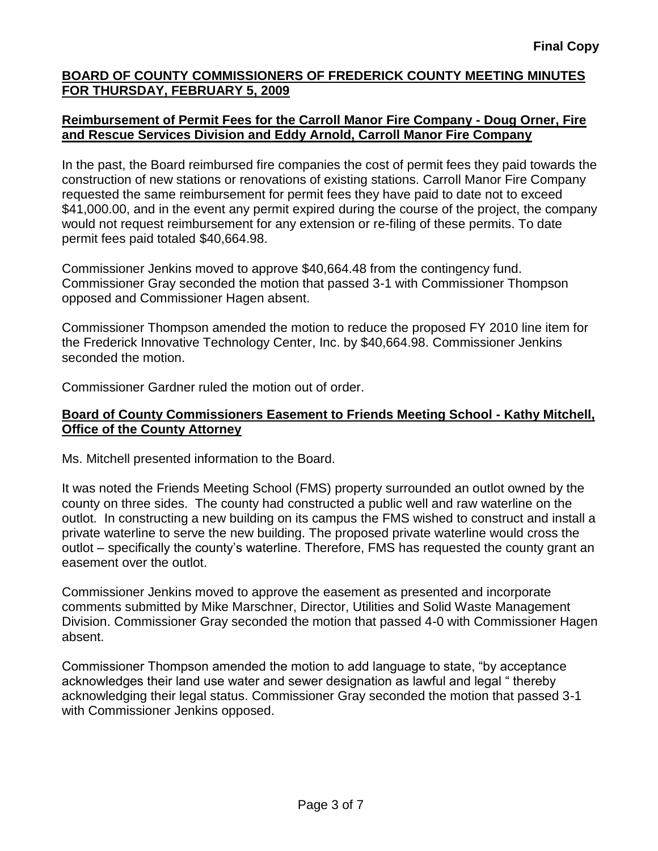### **Reimbursement of Permit Fees for the Carroll Manor Fire Company - Doug Orner, Fire and Rescue Services Division and Eddy Arnold, Carroll Manor Fire Company**

In the past, the Board reimbursed fire companies the cost of permit fees they paid towards the construction of new stations or renovations of existing stations. Carroll Manor Fire Company requested the same reimbursement for permit fees they have paid to date not to exceed \$41,000.00, and in the event any permit expired during the course of the project, the company would not request reimbursement for any extension or re-filing of these permits. To date permit fees paid totaled \$40,664.98.

Commissioner Jenkins moved to approve \$40,664.48 from the contingency fund. Commissioner Gray seconded the motion that passed 3-1 with Commissioner Thompson opposed and Commissioner Hagen absent.

Commissioner Thompson amended the motion to reduce the proposed FY 2010 line item for the Frederick Innovative Technology Center, Inc. by \$40,664.98. Commissioner Jenkins seconded the motion.

Commissioner Gardner ruled the motion out of order.

### **Board of County Commissioners Easement to Friends Meeting School - Kathy Mitchell, Office of the County Attorney**

Ms. Mitchell presented information to the Board.

It was noted the Friends Meeting School (FMS) property surrounded an outlot owned by the county on three sides. The county had constructed a public well and raw waterline on the outlot. In constructing a new building on its campus the FMS wished to construct and install a private waterline to serve the new building. The proposed private waterline would cross the outlot – specifically the county's waterline. Therefore, FMS has requested the county grant an easement over the outlot.

Commissioner Jenkins moved to approve the easement as presented and incorporate comments submitted by Mike Marschner, Director, Utilities and Solid Waste Management Division. Commissioner Gray seconded the motion that passed 4-0 with Commissioner Hagen absent.

Commissioner Thompson amended the motion to add language to state, "by acceptance acknowledges their land use water and sewer designation as lawful and legal " thereby acknowledging their legal status. Commissioner Gray seconded the motion that passed 3-1 with Commissioner Jenkins opposed.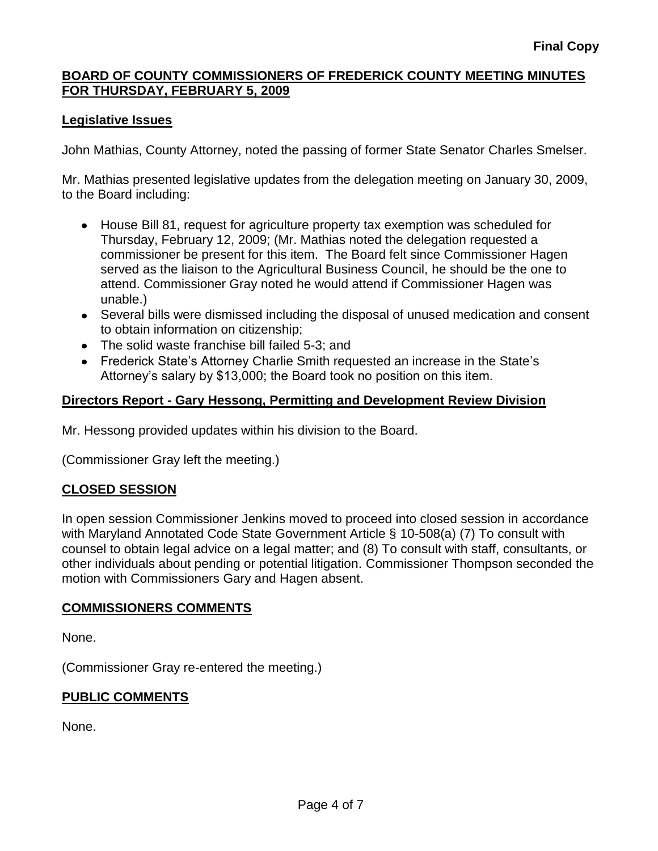# **Legislative Issues**

John Mathias, County Attorney, noted the passing of former State Senator Charles Smelser.

Mr. Mathias presented legislative updates from the delegation meeting on January 30, 2009, to the Board including:

- House Bill 81, request for agriculture property tax exemption was scheduled for Thursday, February 12, 2009; (Mr. Mathias noted the delegation requested a commissioner be present for this item. The Board felt since Commissioner Hagen served as the liaison to the Agricultural Business Council, he should be the one to attend. Commissioner Gray noted he would attend if Commissioner Hagen was unable.)
- Several bills were dismissed including the disposal of unused medication and consent to obtain information on citizenship;
- The solid waste franchise bill failed 5-3; and
- Frederick State's Attorney Charlie Smith requested an increase in the State's Attorney's salary by \$13,000; the Board took no position on this item.

# **Directors Report - Gary Hessong, Permitting and Development Review Division**

Mr. Hessong provided updates within his division to the Board.

(Commissioner Gray left the meeting.)

# **CLOSED SESSION**

In open session Commissioner Jenkins moved to proceed into closed session in accordance with Maryland Annotated Code State Government Article § 10-508(a) (7) To consult with counsel to obtain legal advice on a legal matter; and (8) To consult with staff, consultants, or other individuals about pending or potential litigation. Commissioner Thompson seconded the motion with Commissioners Gary and Hagen absent.

#### **COMMISSIONERS COMMENTS**

None.

(Commissioner Gray re-entered the meeting.)

# **PUBLIC COMMENTS**

None.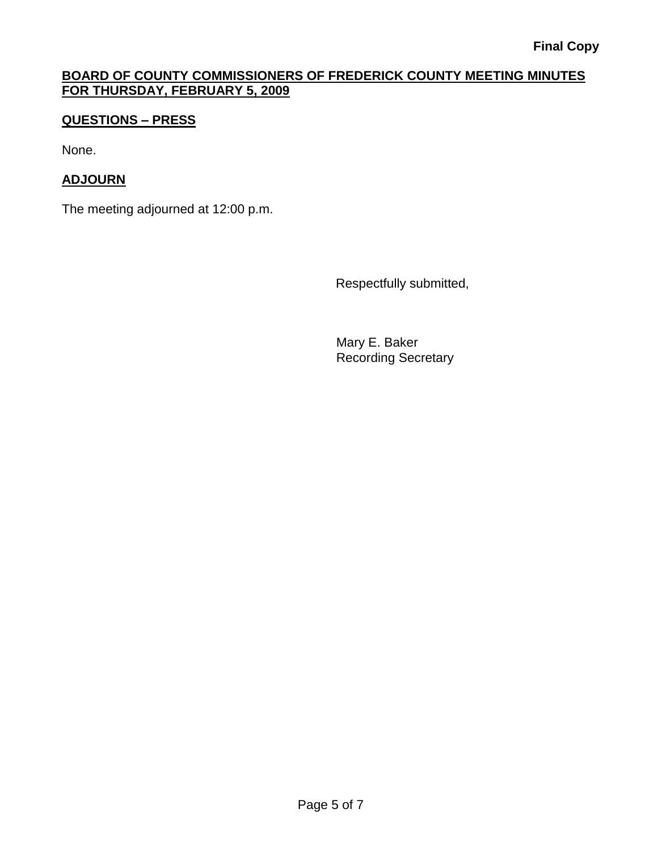# **QUESTIONS – PRESS**

None.

# **ADJOURN**

The meeting adjourned at 12:00 p.m.

Respectfully submitted,

Mary E. Baker Recording Secretary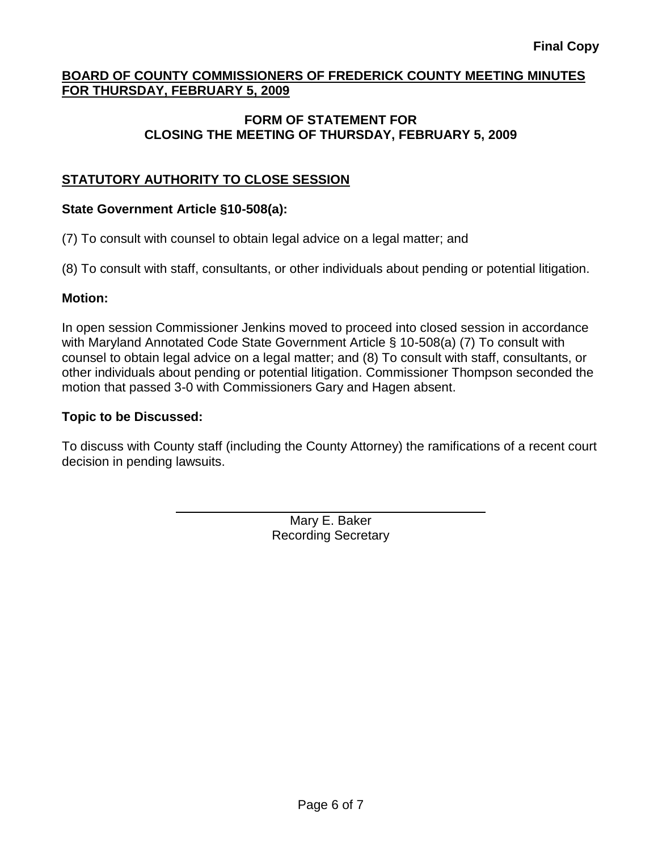### **FORM OF STATEMENT FOR CLOSING THE MEETING OF THURSDAY, FEBRUARY 5, 2009**

# **STATUTORY AUTHORITY TO CLOSE SESSION**

#### **State Government Article §10-508(a):**

(7) To consult with counsel to obtain legal advice on a legal matter; and

(8) To consult with staff, consultants, or other individuals about pending or potential litigation.

#### **Motion:**

In open session Commissioner Jenkins moved to proceed into closed session in accordance with Maryland Annotated Code State Government Article § 10-508(a) (7) To consult with counsel to obtain legal advice on a legal matter; and (8) To consult with staff, consultants, or other individuals about pending or potential litigation. Commissioner Thompson seconded the motion that passed 3-0 with Commissioners Gary and Hagen absent.

# **Topic to be Discussed:**

To discuss with County staff (including the County Attorney) the ramifications of a recent court decision in pending lawsuits.

> Mary E. Baker Recording Secretary